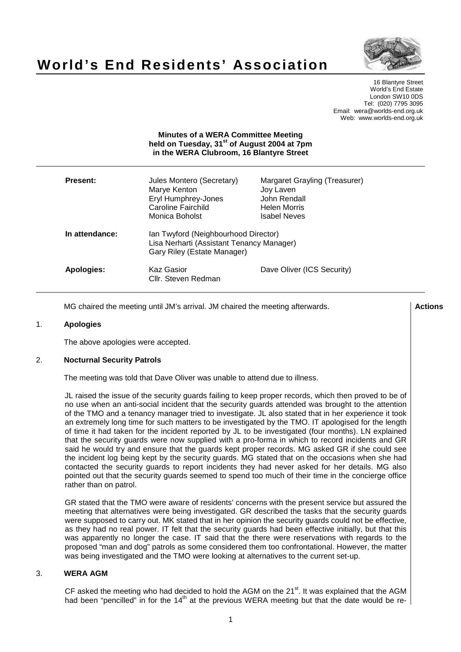# **World's End Residents' Association**



16 Blantyre Street World's End Estate London SW10 0DS Tel: (020) 7795 3095 Email: wera@worlds-end.org.uk Web: www.worlds-end.org.uk

|                 | <b>Minutes of a WERA Committee Meeting</b><br>held on Tuesday, 31 <sup>st</sup> of August 2004 at 7pm<br>in the WERA Clubroom, 16 Blantyre Street |                                                                                                   |
|-----------------|---------------------------------------------------------------------------------------------------------------------------------------------------|---------------------------------------------------------------------------------------------------|
| <b>Present:</b> | Jules Montero (Secretary)<br>Marye Kenton<br>Eryl Humphrey-Jones<br><b>Caroline Fairchild</b><br>Monica Boholst                                   | Margaret Grayling (Treasurer)<br>Joy Laven<br>John Rendall<br>Helen Morris<br><b>Isabel Neves</b> |
| In attendance:  | Ian Twyford (Neighbourhood Director)<br>Lisa Nerharti (Assistant Tenancy Manager)<br>Gary Riley (Estate Manager)                                  |                                                                                                   |
| Apologies:      | Kaz Gasior<br>Cllr. Steven Redman                                                                                                                 | Dave Oliver (ICS Security)                                                                        |

MG chaired the meeting until JM's arrival. JM chaired the meeting afterwards. **Actions** 

#### 1. **Apologies**

The above apologies were accepted.

#### 2. **Nocturnal Security Patrols**

The meeting was told that Dave Oliver was unable to attend due to illness.

JL raised the issue of the security guards failing to keep proper records, which then proved to be of no use when an anti-social incident that the security guards attended was brought to the attention of the TMO and a tenancy manager tried to investigate. JL also stated that in her experience it took an extremely long time for such matters to be investigated by the TMO. IT apologised for the length of time it had taken for the incident reported by JL to be investigated (four months). LN explained that the security guards were now supplied with a pro-forma in which to record incidents and GR said he would try and ensure that the guards kept proper records. MG asked GR if she could see the incident log being kept by the security guards. MG stated that on the occasions when she had contacted the security guards to report incidents they had never asked for her details. MG also pointed out that the security guards seemed to spend too much of their time in the concierge office rather than on patrol.

GR stated that the TMO were aware of residents' concerns with the present service but assured the meeting that alternatives were being investigated. GR described the tasks that the security guards were supposed to carry out. MK stated that in her opinion the security guards could not be effective, as they had no real power. IT felt that the security guards had been effective initially, but that this was apparently no longer the case. IT said that the there were reservations with regards to the proposed "man and dog" patrols as some considered them too confrontational. However, the matter was being investigated and the TMO were looking at alternatives to the current set-up.

#### 3. **WERA AGM**

CF asked the meeting who had decided to hold the AGM on the 21 $^{\text{st}}$ . It was explained that the AGM had been "pencilled" in for the 14<sup>th</sup> at the previous WERA meeting but that the date would be re-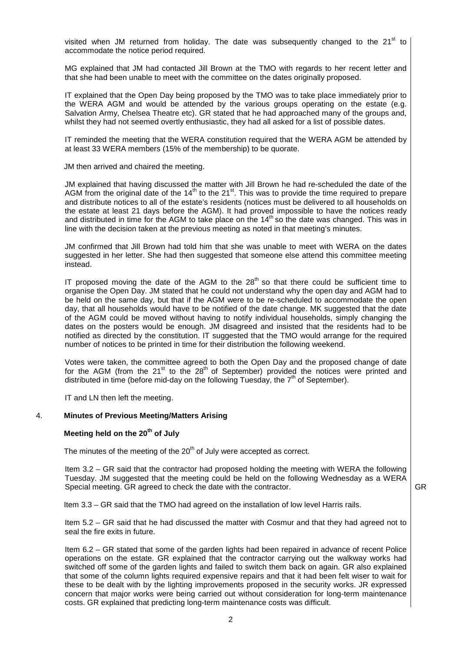visited when JM returned from holiday. The date was subsequently changed to the 21<sup>st</sup> to accommodate the notice period required.

MG explained that JM had contacted Jill Brown at the TMO with regards to her recent letter and that she had been unable to meet with the committee on the dates originally proposed.

IT explained that the Open Day being proposed by the TMO was to take place immediately prior to the WERA AGM and would be attended by the various groups operating on the estate (e.g. Salvation Army, Chelsea Theatre etc). GR stated that he had approached many of the groups and, whilst they had not seemed overtly enthusiastic, they had all asked for a list of possible dates.

IT reminded the meeting that the WERA constitution required that the WERA AGM be attended by at least 33 WERA members (15% of the membership) to be quorate.

JM then arrived and chaired the meeting.

JM explained that having discussed the matter with Jill Brown he had re-scheduled the date of the AGM from the original date of the 14<sup>th</sup> to the 21<sup>st</sup>. This was to provide the time required to prepare and distribute notices to all of the estate's residents (notices must be delivered to all households on the estate at least 21 days before the AGM). It had proved impossible to have the notices ready and distributed in time for the AGM to take place on the  $14<sup>th</sup>$  so the date was changed. This was in line with the decision taken at the previous meeting as noted in that meeting's minutes.

JM confirmed that Jill Brown had told him that she was unable to meet with WERA on the dates suggested in her letter. She had then suggested that someone else attend this committee meeting instead.

IT proposed moving the date of the AGM to the  $28<sup>th</sup>$  so that there could be sufficient time to organise the Open Day. JM stated that he could not understand why the open day and AGM had to be held on the same day, but that if the AGM were to be re-scheduled to accommodate the open day, that all households would have to be notified of the date change. MK suggested that the date of the AGM could be moved without having to notify individual households, simply changing the dates on the posters would be enough. JM disagreed and insisted that the residents had to be notified as directed by the constitution. IT suggested that the TMO would arrange for the required number of notices to be printed in time for their distribution the following weekend.

Votes were taken, the committee agreed to both the Open Day and the proposed change of date for the AGM (from the 21<sup>st</sup> to the 28<sup>th</sup> of September) provided the notices were printed and distributed in time (before mid-day on the following Tuesday, the  $7<sup>th</sup>$  of September).

IT and LN then left the meeting.

#### 4. **Minutes of Previous Meeting/Matters Arising**

# **Meeting held on the 20 th of July**

The minutes of the meeting of the  $20<sup>th</sup>$  of July were accepted as correct.

Item 3.2 – GR said that the contractor had proposed holding the meeting with WERA the following Tuesday. JM suggested that the meeting could be held on the following Wednesday as a WERA Special meeting. GR agreed to check the date with the contractor.

Item 3.3 – GR said that the TMO had agreed on the installation of low level Harris rails.

Item 5.2 – GR said that he had discussed the matter with Cosmur and that they had agreed not to seal the fire exits in future.

Item 6.2 – GR stated that some of the garden lights had been repaired in advance of recent Police operations on the estate. GR explained that the contractor carrying out the walkway works had switched off some of the garden lights and failed to switch them back on again. GR also explained that some of the column lights required expensive repairs and that it had been felt wiser to wait for these to be dealt with by the lighting improvements proposed in the security works. JR expressed concern that major works were being carried out without consideration for long-term maintenance costs. GR explained that predicting long-term maintenance costs was difficult.

GR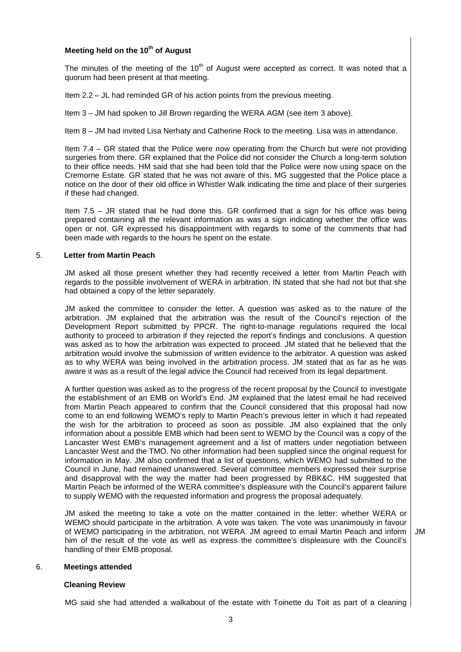# **Meeting held on the 10 th of August**

The minutes of the meeting of the 10<sup>th</sup> of August were accepted as correct. It was noted that a quorum had been present at that meeting.

Item 2.2 – JL had reminded GR of his action points from the previous meeting.

Item 3 – JM had spoken to Jill Brown regarding the WERA AGM (see item 3 above).

Item 8 – JM had invited Lisa Nerhaty and Catherine Rock to the meeting. Lisa was in attendance.

Item 7.4 – GR stated that the Police were now operating from the Church but were not providing surgeries from there. GR explained that the Police did not consider the Church a long-term solution to their office needs. HM said that she had been told that the Police were now using space on the Cremorne Estate. GR stated that he was not aware of this. MG suggested that the Police place a notice on the door of their old office in Whistler Walk indicating the time and place of their surgeries if these had changed.

Item 7.5 – JR stated that he had done this. GR confirmed that a sign for his office was being prepared containing all the relevant information as was a sign indicating whether the office was open or not. GR expressed his disappointment with regards to some of the comments that had been made with regards to the hours he spent on the estate.

# 5. **Letter from Martin Peach**

JM asked all those present whether they had recently received a letter from Martin Peach with regards to the possible involvement of WERA in arbitration. IN stated that she had not but that she had obtained a copy of the letter separately.

JM asked the committee to consider the letter. A question was asked as to the nature of the arbitration. JM explained that the arbitration was the result of the Council's rejection of the Development Report submitted by PPCR. The right-to-manage regulations required the local authority to proceed to arbitration if they rejected the report's findings and conclusions. A question was asked as to how the arbitration was expected to proceed. JM stated that he believed that the arbitration would involve the submission of written evidence to the arbitrator. A question was asked as to why WERA was being involved in the arbitration process. JM stated that as far as he was aware it was as a result of the legal advice the Council had received from its legal department.

A further question was asked as to the progress of the recent proposal by the Council to investigate the establishment of an EMB on World's End. JM explained that the latest email he had received from Martin Peach appeared to confirm that the Council considered that this proposal had now come to an end following WEMO's reply to Martin Peach's previous letter in which it had repeated the wish for the arbitration to proceed as soon as possible. JM also explained that the only information about a possible EMB which had been sent to WEMO by the Council was a copy of the Lancaster West EMB's management agreement and a list of matters under negotiation between Lancaster West and the TMO. No other information had been supplied since the original request for information in May. JM also confirmed that a list of questions, which WEMO had submitted to the Council in June, had remained unanswered. Several committee members expressed their surprise and disapproval with the way the matter had been progressed by RBK&C. HM suggested that Martin Peach be informed of the WERA committee's displeasure with the Council's apparent failure to supply WEMO with the requested information and progress the proposal adequately.

JM asked the meeting to take a vote on the matter contained in the letter: whether WERA or WEMO should participate in the arbitration. A vote was taken. The vote was unanimously in favour of WEMO participating in the arbitration, not WERA. JM agreed to email Martin Peach and inform him of the result of the vote as well as express the committee's displeasure with the Council's handling of their EMB proposal.

# JM

#### 6. **Meetings attended**

#### **Cleaning Review**

MG said she had attended a walkabout of the estate with Toinette du Toit as part of a cleaning